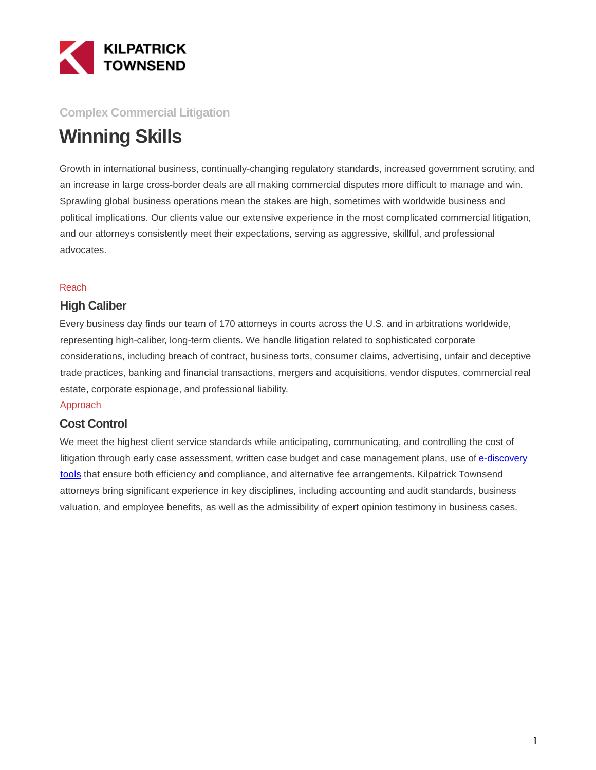

## **Complex Commercial Litigation**

# **Winning Skills**

Growth in international business, continually-changing regulatory standards, increased government scrutiny, and an increase in large cross-border deals are all making commercial disputes more difficult to manage and win. Sprawling global business operations mean the stakes are high, sometimes with worldwide business and political implications. Our clients value our extensive experience in the most complicated commercial litigation, and our attorneys consistently meet their expectations, serving as aggressive, skillful, and professional advocates.

#### Reach

### **High Caliber**

Every business day finds our team of 170 attorneys in courts across the U.S. and in arbitrations worldwide, representing high-caliber, long-term clients. We handle litigation related to sophisticated corporate considerations, including breach of contract, business torts, consumer claims, advertising, unfair and deceptive trade practices, banking and financial transactions, mergers and acquisitions, vendor disputes, commercial real estate, corporate espionage, and professional liability.

#### Approach

### **Cost Control**

We meet the highest client service standards while anticipating, communicating, and controlling the cost of litigation through early case assessment, written case budget and case management plans, use of [e-discovery](http://www.ktlitsmart.com/) tools that ensure both efficiency and compliance, and alternative fee arrangements. Kilpatrick Townsend attorneys bring significant experience in key disciplines, including accounting and audit standards, business valuation, and employee benefits, as well as the admissibility of expert opinion testimony in business cases.